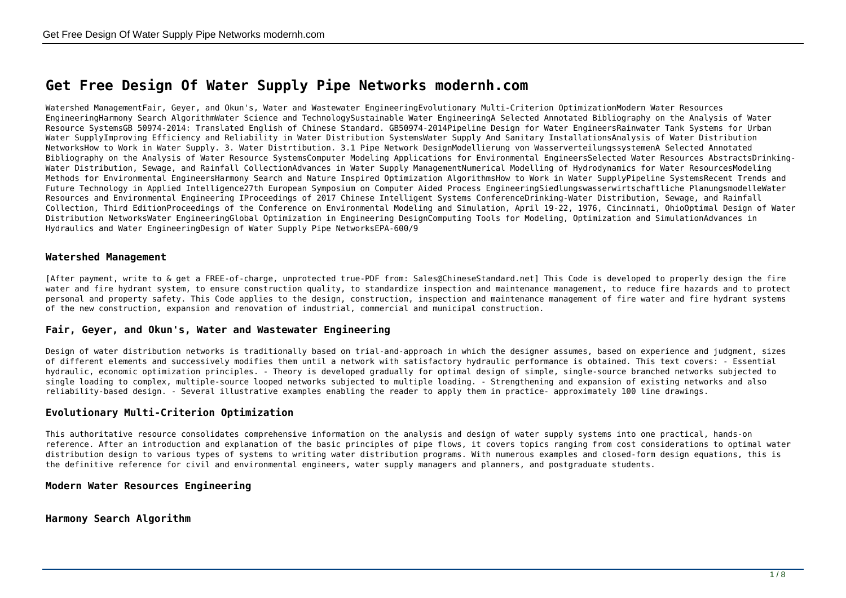# **Get Free Design Of Water Supply Pipe Networks modernh.com**

Watershed ManagementFair, Geyer, and Okun's, Water and Wastewater EngineeringEvolutionary Multi-Criterion OptimizationModern Water Resources EngineeringHarmony Search AlgorithmWater Science and TechnologySustainable Water EngineeringA Selected Annotated Bibliography on the Analysis of Water Resource SystemsGB 50974-2014: Translated English of Chinese Standard. GB50974-2014Pipeline Design for Water EngineersRainwater Tank Systems for Urban Water SupplyImproving Efficiency and Reliability in Water Distribution SystemsWater Supply And Sanitary InstallationsAnalysis of Water Distribution NetworksHow to Work in Water Supply. 3. Water Distrtibution. 3.1 Pipe Network DesignModellierung von WasserverteilungssystemenA Selected Annotated Bibliography on the Analysis of Water Resource SystemsComputer Modeling Applications for Environmental EngineersSelected Water Resources AbstractsDrinking-Water Distribution, Sewage, and Rainfall CollectionAdvances in Water Supply ManagementNumerical Modelling of Hydrodynamics for Water ResourcesModeling Methods for Environmental EngineersHarmony Search and Nature Inspired Optimization AlgorithmsHow to Work in Water SupplyPipeline SystemsRecent Trends and Future Technology in Applied Intelligence27th European Symposium on Computer Aided Process EngineeringSiedlungswasserwirtschaftliche PlanungsmodelleWater Resources and Environmental Engineering IProceedings of 2017 Chinese Intelligent Systems ConferenceDrinking-Water Distribution, Sewage, and Rainfall Collection, Third EditionProceedings of the Conference on Environmental Modeling and Simulation, April 19-22, 1976, Cincinnati, OhioOptimal Design of Water Distribution NetworksWater EngineeringGlobal Optimization in Engineering DesignComputing Tools for Modeling, Optimization and SimulationAdvances in Hydraulics and Water EngineeringDesign of Water Supply Pipe NetworksEPA-600/9

#### **Watershed Management**

[After payment, write to & get a FREE-of-charge, unprotected true-PDF from: Sales@ChineseStandard.net] This Code is developed to properly design the fire water and fire hydrant system, to ensure construction quality, to standardize inspection and maintenance management, to reduce fire hazards and to protect personal and property safety. This Code applies to the design, construction, inspection and maintenance management of fire water and fire hydrant systems of the new construction, expansion and renovation of industrial, commercial and municipal construction.

#### **Fair, Geyer, and Okun's, Water and Wastewater Engineering**

Design of water distribution networks is traditionally based on trial-and-approach in which the designer assumes, based on experience and judgment, sizes of different elements and successively modifies them until a network with satisfactory hydraulic performance is obtained. This text covers: - Essential hydraulic, economic optimization principles. - Theory is developed gradually for optimal design of simple, single-source branched networks subjected to single loading to complex, multiple-source looped networks subjected to multiple loading. - Strengthening and expansion of existing networks and also reliability-based design. - Several illustrative examples enabling the reader to apply them in practice- approximately 100 line drawings.

#### **Evolutionary Multi-Criterion Optimization**

This authoritative resource consolidates comprehensive information on the analysis and design of water supply systems into one practical, hands-on reference. After an introduction and explanation of the basic principles of pipe flows, it covers topics ranging from cost considerations to optimal water distribution design to various types of systems to writing water distribution programs. With numerous examples and closed-form design equations, this is the definitive reference for civil and environmental engineers, water supply managers and planners, and postgraduate students.

#### **Modern Water Resources Engineering**

**Harmony Search Algorithm**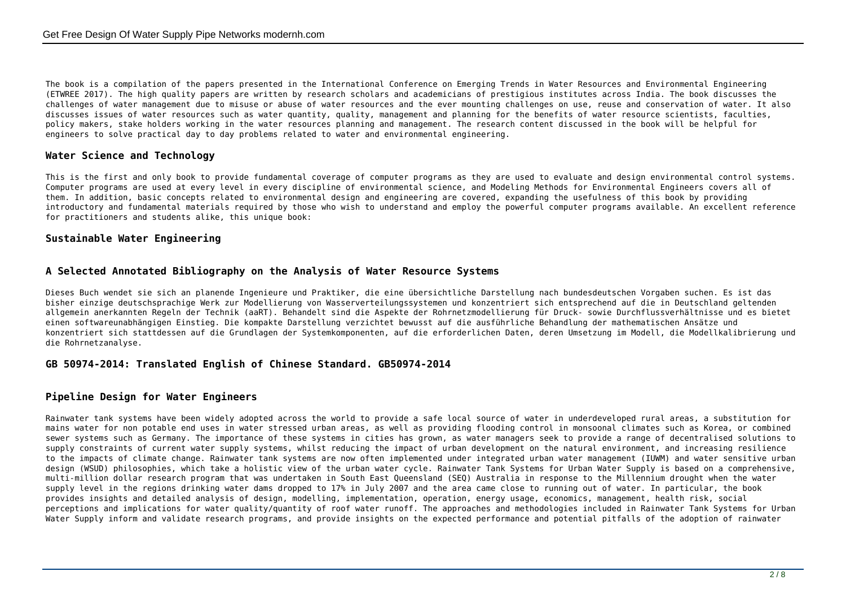The book is a compilation of the papers presented in the International Conference on Emerging Trends in Water Resources and Environmental Engineering (ETWREE 2017). The high quality papers are written by research scholars and academicians of prestigious institutes across India. The book discusses the challenges of water management due to misuse or abuse of water resources and the ever mounting challenges on use, reuse and conservation of water. It also discusses issues of water resources such as water quantity, quality, management and planning for the benefits of water resource scientists, faculties, policy makers, stake holders working in the water resources planning and management. The research content discussed in the book will be helpful for engineers to solve practical day to day problems related to water and environmental engineering.

# **Water Science and Technology**

This is the first and only book to provide fundamental coverage of computer programs as they are used to evaluate and design environmental control systems. Computer programs are used at every level in every discipline of environmental science, and Modeling Methods for Environmental Engineers covers all of them. In addition, basic concepts related to environmental design and engineering are covered, expanding the usefulness of this book by providing introductory and fundamental materials required by those who wish to understand and employ the powerful computer programs available. An excellent reference for practitioners and students alike, this unique book:

## **Sustainable Water Engineering**

#### **A Selected Annotated Bibliography on the Analysis of Water Resource Systems**

Dieses Buch wendet sie sich an planende Ingenieure und Praktiker, die eine übersichtliche Darstellung nach bundesdeutschen Vorgaben suchen. Es ist das bisher einzige deutschsprachige Werk zur Modellierung von Wasserverteilungssystemen und konzentriert sich entsprechend auf die in Deutschland geltenden allgemein anerkannten Regeln der Technik (aaRT). Behandelt sind die Aspekte der Rohrnetzmodellierung für Druck- sowie Durchflussverhältnisse und es bietet einen softwareunabhängigen Einstieg. Die kompakte Darstellung verzichtet bewusst auf die ausführliche Behandlung der mathematischen Ansätze und konzentriert sich stattdessen auf die Grundlagen der Systemkomponenten, auf die erforderlichen Daten, deren Umsetzung im Modell, die Modellkalibrierung und die Rohrnetzanalyse.

# **GB 50974-2014: Translated English of Chinese Standard. GB50974-2014**

### **Pipeline Design for Water Engineers**

Rainwater tank systems have been widely adopted across the world to provide a safe local source of water in underdeveloped rural areas, a substitution for mains water for non potable end uses in water stressed urban areas, as well as providing flooding control in monsoonal climates such as Korea, or combined sewer systems such as Germany. The importance of these systems in cities has grown, as water managers seek to provide a range of decentralised solutions to supply constraints of current water supply systems, whilst reducing the impact of urban development on the natural environment, and increasing resilience to the impacts of climate change. Rainwater tank systems are now often implemented under integrated urban water management (IUWM) and water sensitive urban design (WSUD) philosophies, which take a holistic view of the urban water cycle. Rainwater Tank Systems for Urban Water Supply is based on a comprehensive, multi-million dollar research program that was undertaken in South East Queensland (SEQ) Australia in response to the Millennium drought when the water supply level in the regions drinking water dams dropped to 17% in July 2007 and the area came close to running out of water. In particular, the book provides insights and detailed analysis of design, modelling, implementation, operation, energy usage, economics, management, health risk, social perceptions and implications for water quality/quantity of roof water runoff. The approaches and methodologies included in Rainwater Tank Systems for Urban Water Supply inform and validate research programs, and provide insights on the expected performance and potential pitfalls of the adoption of rainwater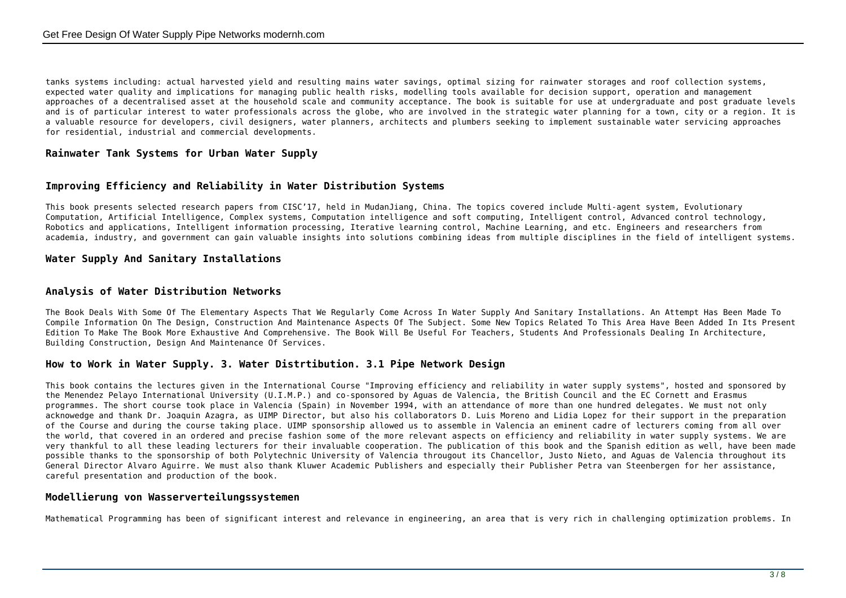tanks systems including: actual harvested yield and resulting mains water savings, optimal sizing for rainwater storages and roof collection systems, expected water quality and implications for managing public health risks, modelling tools available for decision support, operation and management approaches of a decentralised asset at the household scale and community acceptance. The book is suitable for use at undergraduate and post graduate levels and is of particular interest to water professionals across the globe, who are involved in the strategic water planning for a town, city or a region. It is a valuable resource for developers, civil designers, water planners, architects and plumbers seeking to implement sustainable water servicing approaches for residential, industrial and commercial developments.

## **Rainwater Tank Systems for Urban Water Supply**

## **Improving Efficiency and Reliability in Water Distribution Systems**

This book presents selected research papers from CISC'17, held in MudanJiang, China. The topics covered include Multi-agent system, Evolutionary Computation, Artificial Intelligence, Complex systems, Computation intelligence and soft computing, Intelligent control, Advanced control technology, Robotics and applications, Intelligent information processing, Iterative learning control, Machine Learning, and etc. Engineers and researchers from academia, industry, and government can gain valuable insights into solutions combining ideas from multiple disciplines in the field of intelligent systems.

## **Water Supply And Sanitary Installations**

#### **Analysis of Water Distribution Networks**

The Book Deals With Some Of The Elementary Aspects That We Regularly Come Across In Water Supply And Sanitary Installations. An Attempt Has Been Made To Compile Information On The Design, Construction And Maintenance Aspects Of The Subject. Some New Topics Related To This Area Have Been Added In Its Present Edition To Make The Book More Exhaustive And Comprehensive. The Book Will Be Useful For Teachers, Students And Professionals Dealing In Architecture, Building Construction, Design And Maintenance Of Services.

#### **How to Work in Water Supply. 3. Water Distrtibution. 3.1 Pipe Network Design**

This book contains the lectures given in the International Course "Improving efficiency and reliability in water supply systems", hosted and sponsored by the Menendez Pelayo International University (U.I.M.P.) and co-sponsored by Aguas de Valencia, the British Council and the EC Cornett and Erasmus programmes. The short course took place in Valencia (Spain) in November 1994, with an attendance of more than one hundred delegates. We must not only acknowedge and thank Dr. Joaquin Azagra, as UIMP Director, but also his collaborators D. Luis Moreno and Lidia Lopez for their support in the preparation of the Course and during the course taking place. UIMP sponsorship allowed us to assemble in Valencia an eminent cadre of lecturers coming from all over the world, that covered in an ordered and precise fashion some of the more relevant aspects on efficiency and reliability in water supply systems. We are very thankful to all these leading lecturers for their invaluable cooperation. The publication of this book and the Spanish edition as well, have been made possible thanks to the sponsorship of both Polytechnic University of Valencia througout its Chancellor, Justo Nieto, and Aguas de Valencia throughout its General Director Alvaro Aguirre. We must also thank Kluwer Academic Publishers and especially their Publisher Petra van Steenbergen for her assistance, careful presentation and production of the book.

#### **Modellierung von Wasserverteilungssystemen**

Mathematical Programming has been of significant interest and relevance in engineering, an area that is very rich in challenging optimization problems. In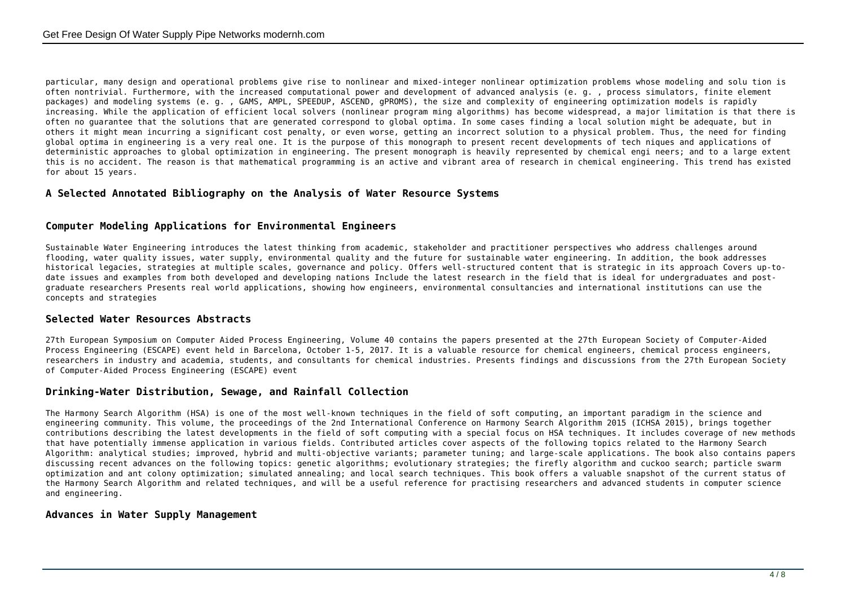particular, many design and operational problems give rise to nonlinear and mixed-integer nonlinear optimization problems whose modeling and solu tion is often nontrivial. Furthermore, with the increased computational power and development of advanced analysis (e. g. , process simulators, finite element packages) and modeling systems (e. g. , GAMS, AMPL, SPEEDUP, ASCEND, gPROMS), the size and complexity of engineering optimization models is rapidly increasing. While the application of efficient local solvers (nonlinear program ming algorithms) has become widespread, a major limitation is that there is often no guarantee that the solutions that are generated correspond to global optima. In some cases finding a local solution might be adequate, but in others it might mean incurring a significant cost penalty, or even worse, getting an incorrect solution to a physical problem. Thus, the need for finding global optima in engineering is a very real one. It is the purpose of this monograph to present recent developments of tech niques and applications of deterministic approaches to global optimization in engineering. The present monograph is heavily represented by chemical engi neers; and to a large extent this is no accident. The reason is that mathematical programming is an active and vibrant area of research in chemical engineering. This trend has existed for about 15 years.

# **A Selected Annotated Bibliography on the Analysis of Water Resource Systems**

## **Computer Modeling Applications for Environmental Engineers**

Sustainable Water Engineering introduces the latest thinking from academic, stakeholder and practitioner perspectives who address challenges around flooding, water quality issues, water supply, environmental quality and the future for sustainable water engineering. In addition, the book addresses historical legacies, strategies at multiple scales, governance and policy. Offers well-structured content that is strategic in its approach Covers up-todate issues and examples from both developed and developing nations Include the latest research in the field that is ideal for undergraduates and postgraduate researchers Presents real world applications, showing how engineers, environmental consultancies and international institutions can use the concepts and strategies

# **Selected Water Resources Abstracts**

27th European Symposium on Computer Aided Process Engineering, Volume 40 contains the papers presented at the 27th European Society of Computer-Aided Process Engineering (ESCAPE) event held in Barcelona, October 1-5, 2017. It is a valuable resource for chemical engineers, chemical process engineers, researchers in industry and academia, students, and consultants for chemical industries. Presents findings and discussions from the 27th European Society of Computer-Aided Process Engineering (ESCAPE) event

# **Drinking-Water Distribution, Sewage, and Rainfall Collection**

The Harmony Search Algorithm (HSA) is one of the most well-known techniques in the field of soft computing, an important paradigm in the science and engineering community. This volume, the proceedings of the 2nd International Conference on Harmony Search Algorithm 2015 (ICHSA 2015), brings together contributions describing the latest developments in the field of soft computing with a special focus on HSA techniques. It includes coverage of new methods that have potentially immense application in various fields. Contributed articles cover aspects of the following topics related to the Harmony Search Algorithm: analytical studies; improved, hybrid and multi-objective variants; parameter tuning; and large-scale applications. The book also contains papers discussing recent advances on the following topics: genetic algorithms; evolutionary strategies; the firefly algorithm and cuckoo search; particle swarm optimization and ant colony optimization; simulated annealing; and local search techniques. This book offers a valuable snapshot of the current status of the Harmony Search Algorithm and related techniques, and will be a useful reference for practising researchers and advanced students in computer science and engineering.

#### **Advances in Water Supply Management**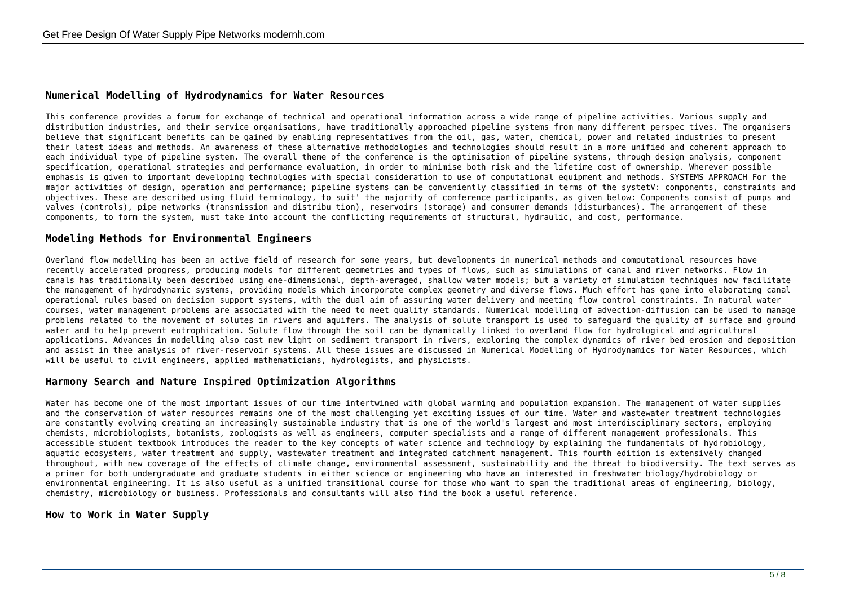## **Numerical Modelling of Hydrodynamics for Water Resources**

This conference provides a forum for exchange of technical and operational information across a wide range of pipeline activities. Various supply and distribution industries, and their service organisations, have traditionally approached pipeline systems from many different perspec tives. The organisers believe that significant benefits can be gained by enabling representatives from the oil, gas, water, chemical, power and related industries to present their latest ideas and methods. An awareness of these alternative methodologies and technologies should result in a more unified and coherent approach to each individual type of pipeline system. The overall theme of the conference is the optimisation of pipeline systems, through design analysis, component specification, operational strategies and performance evaluation, in order to minimise both risk and the lifetime cost of ownership. Wherever possible emphasis is given to important developing technologies with special consideration to use of computational equipment and methods. SYSTEMS APPROACH For the major activities of design, operation and performance; pipeline systems can be conveniently classified in terms of the systetV: components, constraints and objectives. These are described using fluid terminology, to suit' the majority of conference participants, as given below: Components consist of pumps and valves (controls), pipe networks (transmission and distribu tion), reservoirs (storage) and consumer demands (disturbances). The arrangement of these components, to form the system, must take into account the conflicting requirements of structural, hydraulic, and cost, performance.

#### **Modeling Methods for Environmental Engineers**

Overland flow modelling has been an active field of research for some years, but developments in numerical methods and computational resources have recently accelerated progress, producing models for different geometries and types of flows, such as simulations of canal and river networks. Flow in canals has traditionally been described using one-dimensional, depth-averaged, shallow water models; but a variety of simulation techniques now facilitate the management of hydrodynamic systems, providing models which incorporate complex geometry and diverse flows. Much effort has gone into elaborating canal operational rules based on decision support systems, with the dual aim of assuring water delivery and meeting flow control constraints. In natural water courses, water management problems are associated with the need to meet quality standards. Numerical modelling of advection-diffusion can be used to manage problems related to the movement of solutes in rivers and aquifers. The analysis of solute transport is used to safeguard the quality of surface and ground water and to help prevent eutrophication. Solute flow through the soil can be dynamically linked to overland flow for hydrological and agricultural applications. Advances in modelling also cast new light on sediment transport in rivers, exploring the complex dynamics of river bed erosion and deposition and assist in thee analysis of river-reservoir systems. All these issues are discussed in Numerical Modelling of Hydrodynamics for Water Resources, which will be useful to civil engineers, applied mathematicians, hydrologists, and physicists.

#### **Harmony Search and Nature Inspired Optimization Algorithms**

Water has become one of the most important issues of our time intertwined with global warming and population expansion. The management of water supplies and the conservation of water resources remains one of the most challenging yet exciting issues of our time. Water and wastewater treatment technologies are constantly evolving creating an increasingly sustainable industry that is one of the world's largest and most interdisciplinary sectors, employing chemists, microbiologists, botanists, zoologists as well as engineers, computer specialists and a range of different management professionals. This accessible student textbook introduces the reader to the key concepts of water science and technology by explaining the fundamentals of hydrobiology, aquatic ecosystems, water treatment and supply, wastewater treatment and integrated catchment management. This fourth edition is extensively changed throughout, with new coverage of the effects of climate change, environmental assessment, sustainability and the threat to biodiversity. The text serves as a primer for both undergraduate and graduate students in either science or engineering who have an interested in freshwater biology/hydrobiology or environmental engineering. It is also useful as a unified transitional course for those who want to span the traditional areas of engineering, biology, chemistry, microbiology or business. Professionals and consultants will also find the book a useful reference.

#### **How to Work in Water Supply**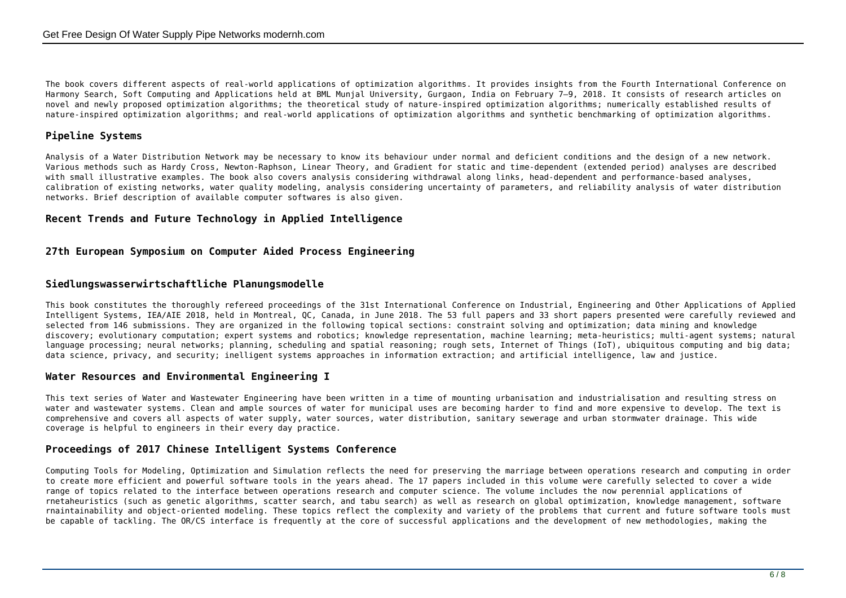The book covers different aspects of real-world applications of optimization algorithms. It provides insights from the Fourth International Conference on Harmony Search, Soft Computing and Applications held at BML Munjal University, Gurgaon, India on February 7–9, 2018. It consists of research articles on novel and newly proposed optimization algorithms; the theoretical study of nature-inspired optimization algorithms; numerically established results of nature-inspired optimization algorithms; and real-world applications of optimization algorithms and synthetic benchmarking of optimization algorithms.

# **Pipeline Systems**

Analysis of a Water Distribution Network may be necessary to know its behaviour under normal and deficient conditions and the design of a new network. Various methods such as Hardy Cross, Newton-Raphson, Linear Theory, and Gradient for static and time-dependent (extended period) analyses are described with small illustrative examples. The book also covers analysis considering withdrawal along links, head-dependent and performance-based analyses, calibration of existing networks, water quality modeling, analysis considering uncertainty of parameters, and reliability analysis of water distribution networks. Brief description of available computer softwares is also given.

## **Recent Trends and Future Technology in Applied Intelligence**

## **27th European Symposium on Computer Aided Process Engineering**

## **Siedlungswasserwirtschaftliche Planungsmodelle**

This book constitutes the thoroughly refereed proceedings of the 31st International Conference on Industrial, Engineering and Other Applications of Applied Intelligent Systems, IEA/AIE 2018, held in Montreal, QC, Canada, in June 2018. The 53 full papers and 33 short papers presented were carefully reviewed and selected from 146 submissions. They are organized in the following topical sections: constraint solving and optimization; data mining and knowledge discovery; evolutionary computation; expert systems and robotics; knowledge representation, machine learning; meta-heuristics; multi-agent systems; natural language processing; neural networks; planning, scheduling and spatial reasoning; rough sets, Internet of Things (IoT), ubiquitous computing and big data; data science, privacy, and security; inelligent systems approaches in information extraction; and artificial intelligence, law and justice.

#### **Water Resources and Environmental Engineering I**

This text series of Water and Wastewater Engineering have been written in a time of mounting urbanisation and industrialisation and resulting stress on water and wastewater systems. Clean and ample sources of water for municipal uses are becoming harder to find and more expensive to develop. The text is comprehensive and covers all aspects of water supply, water sources, water distribution, sanitary sewerage and urban stormwater drainage. This wide coverage is helpful to engineers in their every day practice.

## **Proceedings of 2017 Chinese Intelligent Systems Conference**

Computing Tools for Modeling, Optimization and Simulation reflects the need for preserving the marriage between operations research and computing in order to create more efficient and powerful software tools in the years ahead. The 17 papers included in this volume were carefully selected to cover a wide range of topics related to the interface between operations research and computer science. The volume includes the now perennial applications of rnetaheuristics (such as genetic algorithms, scatter search, and tabu search) as well as research on global optimization, knowledge management, software rnaintainability and object-oriented modeling. These topics reflect the complexity and variety of the problems that current and future software tools must be capable of tackling. The OR/CS interface is frequently at the core of successful applications and the development of new methodologies, making the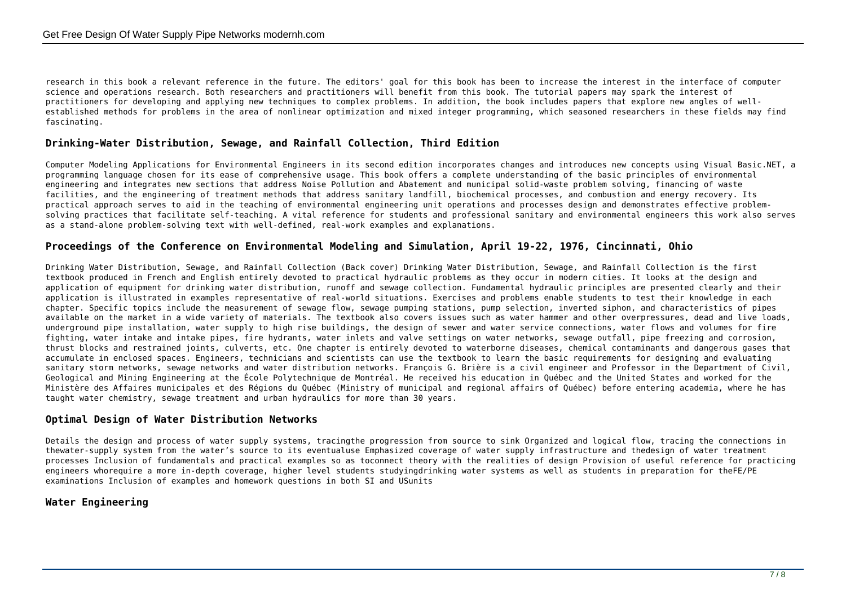research in this book a relevant reference in the future. The editors' goal for this book has been to increase the interest in the interface of computer science and operations research. Both researchers and practitioners will benefit from this book. The tutorial papers may spark the interest of practitioners for developing and applying new techniques to complex problems. In addition, the book includes papers that explore new angles of wellestablished methods for problems in the area of nonlinear optimization and mixed integer programming, which seasoned researchers in these fields may find fascinating.

## **Drinking-Water Distribution, Sewage, and Rainfall Collection, Third Edition**

Computer Modeling Applications for Environmental Engineers in its second edition incorporates changes and introduces new concepts using Visual Basic.NET, a programming language chosen for its ease of comprehensive usage. This book offers a complete understanding of the basic principles of environmental engineering and integrates new sections that address Noise Pollution and Abatement and municipal solid-waste problem solving, financing of waste facilities, and the engineering of treatment methods that address sanitary landfill, biochemical processes, and combustion and energy recovery. Its practical approach serves to aid in the teaching of environmental engineering unit operations and processes design and demonstrates effective problemsolving practices that facilitate self-teaching. A vital reference for students and professional sanitary and environmental engineers this work also serves as a stand-alone problem-solving text with well-defined, real-work examples and explanations.

#### **Proceedings of the Conference on Environmental Modeling and Simulation, April 19-22, 1976, Cincinnati, Ohio**

Drinking Water Distribution, Sewage, and Rainfall Collection (Back cover) Drinking Water Distribution, Sewage, and Rainfall Collection is the first textbook produced in French and English entirely devoted to practical hydraulic problems as they occur in modern cities. It looks at the design and application of equipment for drinking water distribution, runoff and sewage collection. Fundamental hydraulic principles are presented clearly and their application is illustrated in examples representative of real-world situations. Exercises and problems enable students to test their knowledge in each chapter. Specific topics include the measurement of sewage flow, sewage pumping stations, pump selection, inverted siphon, and characteristics of pipes available on the market in a wide variety of materials. The textbook also covers issues such as water hammer and other overpressures, dead and live loads, underground pipe installation, water supply to high rise buildings, the design of sewer and water service connections, water flows and volumes for fire fighting, water intake and intake pipes, fire hydrants, water inlets and valve settings on water networks, sewage outfall, pipe freezing and corrosion, thrust blocks and restrained joints, culverts, etc. One chapter is entirely devoted to waterborne diseases, chemical contaminants and dangerous gases that accumulate in enclosed spaces. Engineers, technicians and scientists can use the textbook to learn the basic requirements for designing and evaluating sanitary storm networks, sewage networks and water distribution networks. François G. Brière is a civil engineer and Professor in the Department of Civil, Geological and Mining Engineering at the École Polytechnique de Montréal. He received his education in Québec and the United States and worked for the Ministère des Affaires municipales et des Régions du Québec (Ministry of municipal and regional affairs of Québec) before entering academia, where he has taught water chemistry, sewage treatment and urban hydraulics for more than 30 years.

#### **Optimal Design of Water Distribution Networks**

Details the design and process of water supply systems, tracingthe progression from source to sink Organized and logical flow, tracing the connections in thewater-supply system from the water's source to its eventualuse Emphasized coverage of water supply infrastructure and thedesign of water treatment processes Inclusion of fundamentals and practical examples so as toconnect theory with the realities of design Provision of useful reference for practicing engineers whorequire a more in-depth coverage, higher level students studyingdrinking water systems as well as students in preparation for theFE/PE examinations Inclusion of examples and homework questions in both SI and USunits

#### **Water Engineering**